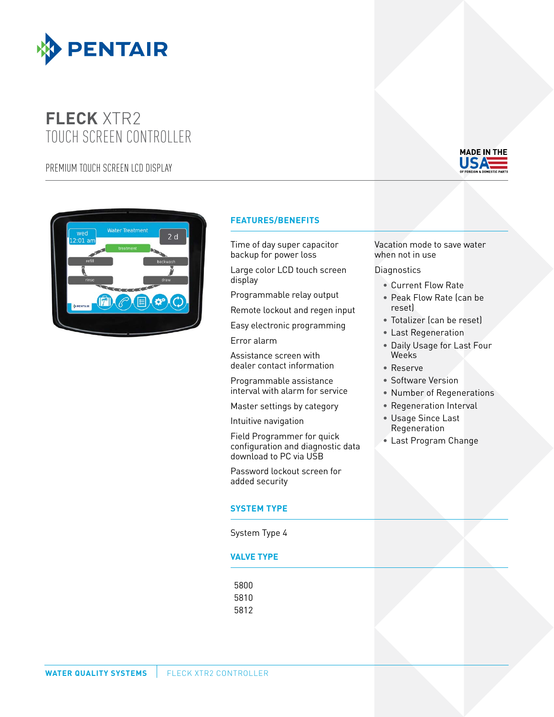

# **FLECK** XTR2 TOUCH SCREEN CONTROLLER

PREMIUM TOUCH SCREEN LCD DISPLAY





### **FEATURES/BENEFITS**

Time of day super capacitor backup for power loss

Large color LCD touch screen display

Programmable relay output

Remote lockout and regen input

Easy electronic programming

Error alarm

Assistance screen with dealer contact information

Programmable assistance interval with alarm for service

Master settings by category

Intuitive navigation

Field Programmer for quick configuration and diagnostic data download to PC via USB

Password lockout screen for added security

#### **SYSTEM TYPE**

System Type 4

#### **VALVE TYPE**

5800 5810 5812 Vacation mode to save water when not in use

**Diagnostics** 

- Current Flow Rate
- Peak Flow Rate (can be reset)
- Totalizer (can be reset)
- Last Regeneration
- Daily Usage for Last Four Weeks
- Reserve
- Software Version
- Number of Regenerations
- Regeneration Interval
- Usage Since Last Regeneration
- Last Program Change